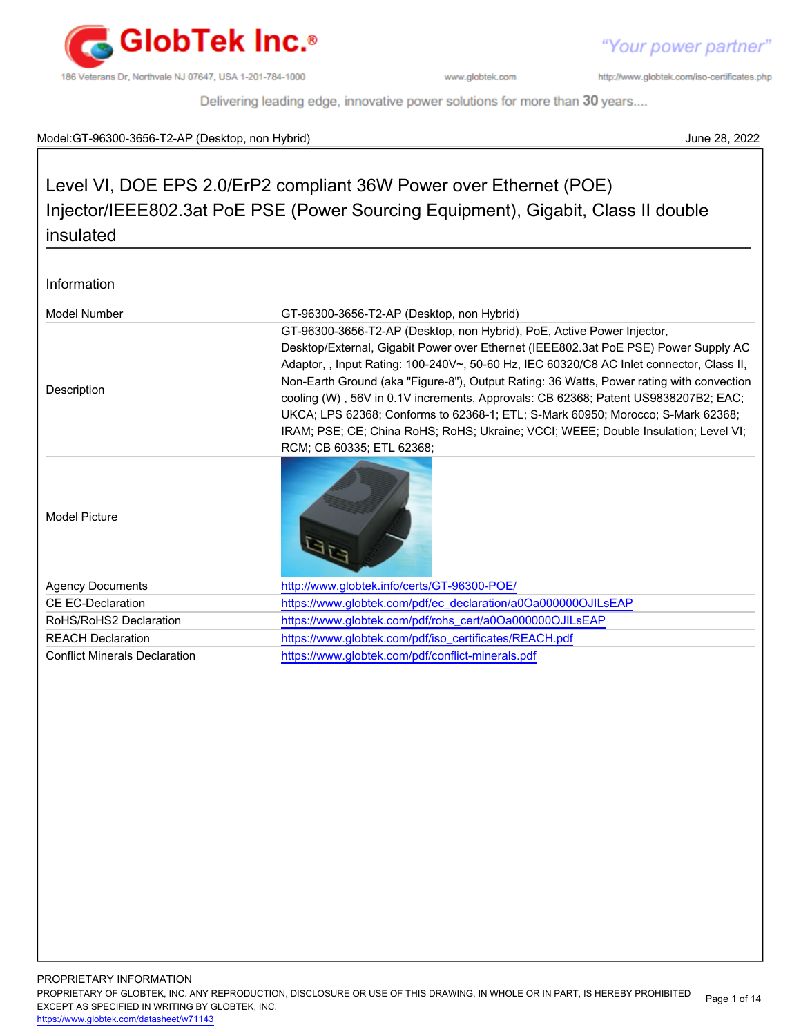

"Your power partner"

http://www.globtek.com/iso-certificates.php

Delivering leading edge, innovative power solutions for more than 30 years....

### Model:GT-96300-3656-T2-AP (Desktop, non Hybrid) June 28, 2022

# Level VI, DOE EPS 2.0/ErP2 compliant 36W Power over Ethernet (POE) Injector/IEEE802.3at PoE PSE (Power Sourcing Equipment), Gigabit, Class II double insulated

| Information                          |                                                                                                                                                                                                                                                                                                                                                               |  |
|--------------------------------------|---------------------------------------------------------------------------------------------------------------------------------------------------------------------------------------------------------------------------------------------------------------------------------------------------------------------------------------------------------------|--|
| Model Number                         | GT-96300-3656-T2-AP (Desktop, non Hybrid)                                                                                                                                                                                                                                                                                                                     |  |
|                                      | GT-96300-3656-T2-AP (Desktop, non Hybrid), PoE, Active Power Injector,                                                                                                                                                                                                                                                                                        |  |
|                                      | Desktop/External, Gigabit Power over Ethernet (IEEE802.3at PoE PSE) Power Supply AC                                                                                                                                                                                                                                                                           |  |
| Description                          | Adaptor, , Input Rating: 100-240V~, 50-60 Hz, IEC 60320/C8 AC Inlet connector, Class II,<br>Non-Earth Ground (aka "Figure-8"), Output Rating: 36 Watts, Power rating with convection<br>cooling (W), 56V in 0.1V increments, Approvals: CB 62368; Patent US9838207B2; EAC;<br>UKCA; LPS 62368; Conforms to 62368-1; ETL; S-Mark 60950; Morocco; S-Mark 62368; |  |
|                                      | IRAM; PSE; CE; China RoHS; RoHS; Ukraine; VCCI; WEEE; Double Insulation; Level VI;<br>RCM; CB 60335; ETL 62368;                                                                                                                                                                                                                                               |  |
| <b>Model Picture</b>                 |                                                                                                                                                                                                                                                                                                                                                               |  |
| <b>Agency Documents</b>              | http://www.globtek.info/certs/GT-96300-POE/                                                                                                                                                                                                                                                                                                                   |  |
| <b>CE EC-Declaration</b>             | https://www.globtek.com/pdf/ec_declaration/a0Oa000000OJILsEAP                                                                                                                                                                                                                                                                                                 |  |
| RoHS/RoHS2 Declaration               | https://www.globtek.com/pdf/rohs_cert/a0Oa0000000JILsEAP                                                                                                                                                                                                                                                                                                      |  |
| <b>REACH Declaration</b>             | https://www.globtek.com/pdf/iso_certificates/REACH.pdf                                                                                                                                                                                                                                                                                                        |  |
| <b>Conflict Minerals Declaration</b> | https://www.globtek.com/pdf/conflict-minerals.pdf                                                                                                                                                                                                                                                                                                             |  |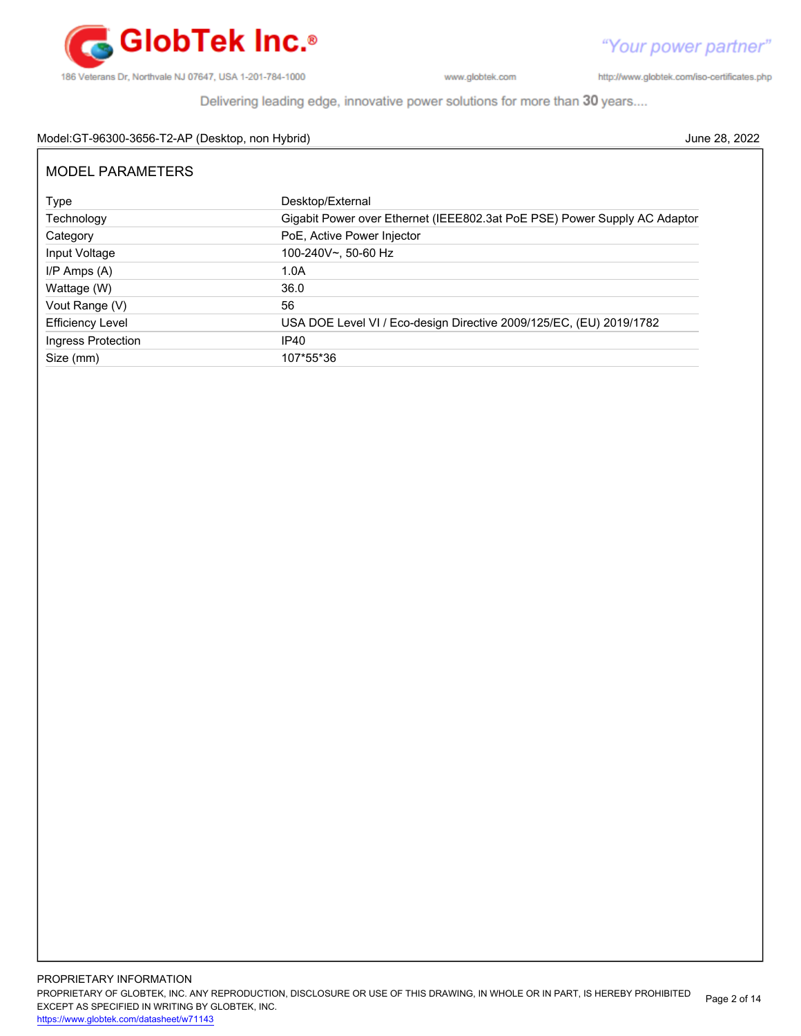

http://www.globtek.com/iso-certificates.php

Delivering leading edge, innovative power solutions for more than 30 years....

### Model:GT-96300-3656-T2-AP (Desktop, non Hybrid) June 28, 2022

| <b>MODEL PARAMETERS</b> |                                                                           |  |  |
|-------------------------|---------------------------------------------------------------------------|--|--|
| Type                    | Desktop/External                                                          |  |  |
| Technology              | Gigabit Power over Ethernet (IEEE802.3at PoE PSE) Power Supply AC Adaptor |  |  |
| Category                | PoE, Active Power Injector                                                |  |  |
| Input Voltage           | 100-240V~, 50-60 Hz                                                       |  |  |
| $I/P$ Amps $(A)$        | 1.0A                                                                      |  |  |
| Wattage (W)             | 36.0                                                                      |  |  |
| Vout Range (V)          | 56                                                                        |  |  |
| <b>Efficiency Level</b> | USA DOE Level VI / Eco-design Directive 2009/125/EC, (EU) 2019/1782       |  |  |
| Ingress Protection      | IP40                                                                      |  |  |
| Size (mm)               | 107*55*36                                                                 |  |  |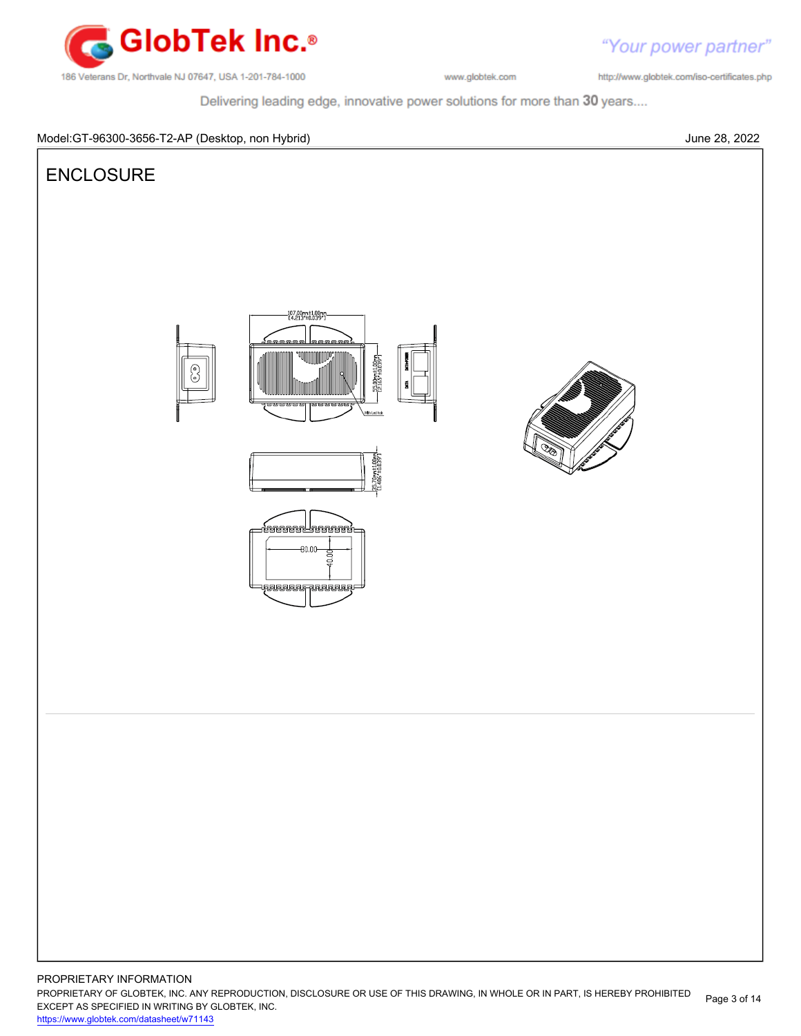

http://www.globtek.com/iso-certificates.php

"Your power partner"

Delivering leading edge, innovative power solutions for more than 30 years....

### Model:GT-96300-3656-T2-AP (Desktop, non Hybrid) June 28, 2022

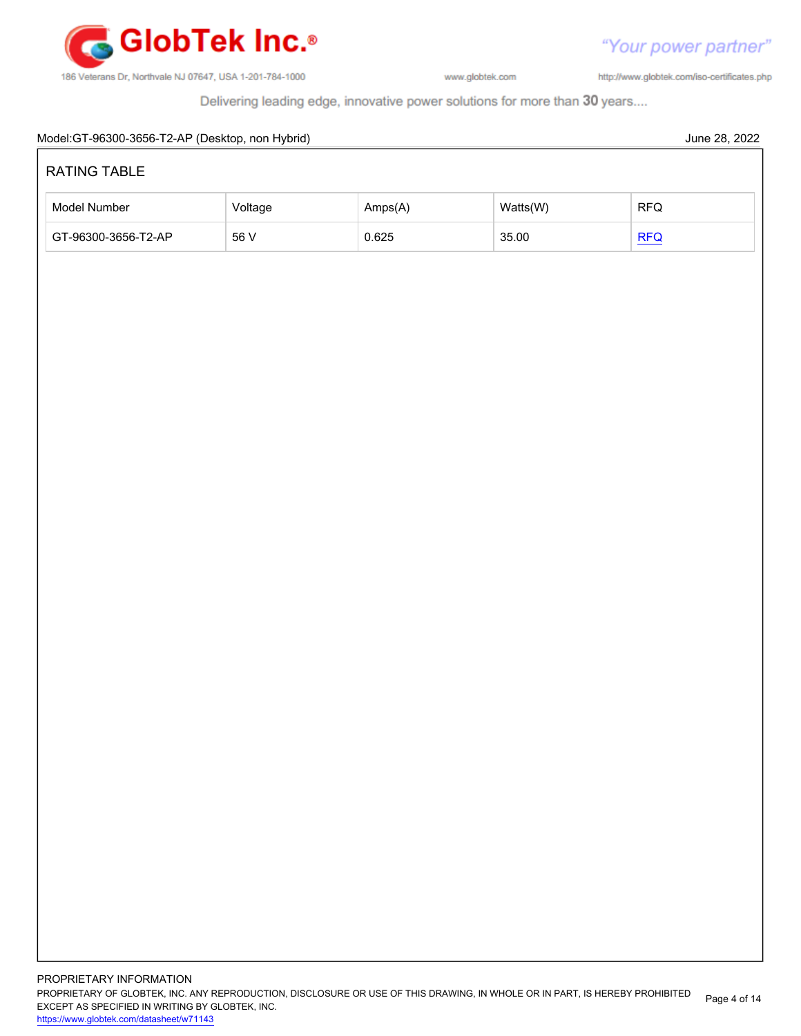

"Your power partner" http://www.globtek.com/iso-certificates.php

Delivering leading edge, innovative power solutions for more than 30 years....

# Model:GT-96300-3656-T2-AP (Desktop, non Hybrid) June 28, 2022 PROPRIETARY INFORMATION RATING TABLE Model Number **Amps(A)** Watts(W) RFQ GT-96300-3656-T2-AP 56 V 0.625 35.00 [RFQ](https://en.globtek.com/model/id/a0Oa000000OJILsEAP)

PROPRIETARY OF GLOBTEK, INC. ANY REPRODUCTION, DISCLOSURE OR USE OF THIS DRAWING, IN WHOLE OR IN PART, IS HEREBY PROHIBITED EXCEPT AS SPECIFIED IN WRITING BY GLOBTEK, INC. Page 4 of 14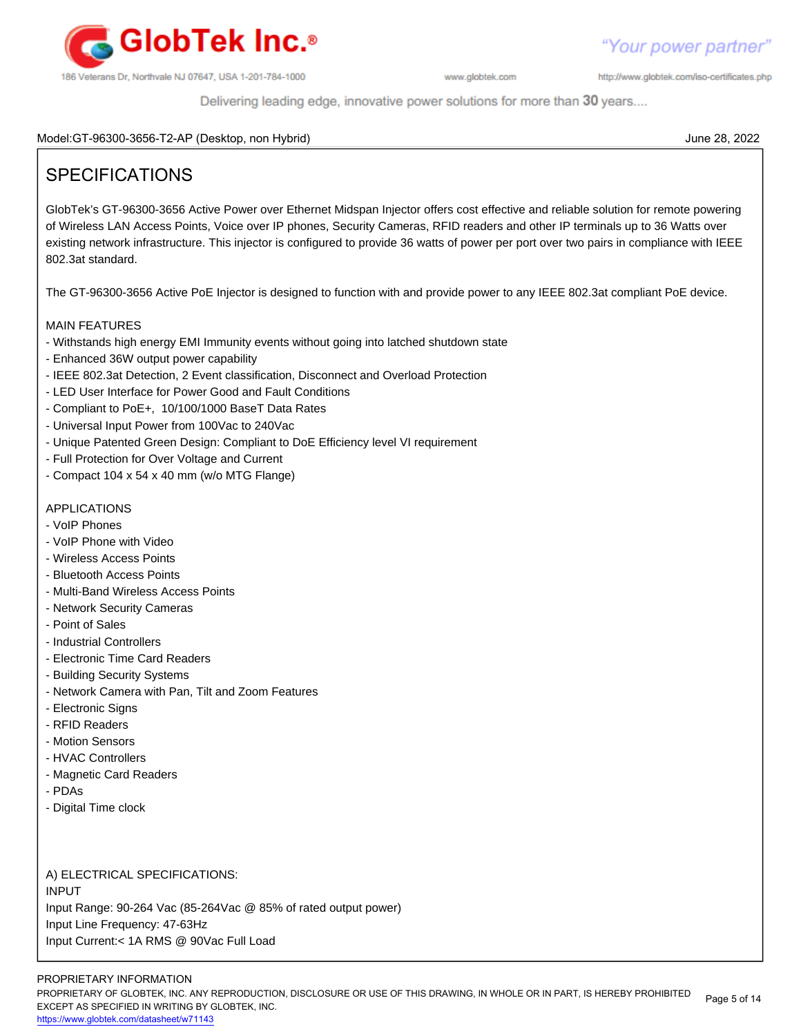

http://www.globtek.com/iso-certificates.php

Delivering leading edge, innovative power solutions for more than 30 years....

Model:GT-96300-3656-T2-AP (Desktop, non Hybrid) June 28, 2022

# SPECIFICATIONS

GlobTek's GT-96300-3656 Active Power over Ethernet Midspan Injector offers cost effective and reliable solution for remote powering of Wireless LAN Access Points, Voice over IP phones, Security Cameras, RFID readers and other IP terminals up to 36 Watts over existing network infrastructure. This injector is configured to provide 36 watts of power per port over two pairs in compliance with IEEE 802.3at standard.

The GT-96300-3656 Active PoE Injector is designed to function with and provide power to any IEEE 802.3at compliant PoE device.

### MAIN FEATURES

- Withstands high energy EMI Immunity events without going into latched shutdown state
- Enhanced 36W output power capability
- IEEE 802.3at Detection, 2 Event classification, Disconnect and Overload Protection
- LED User Interface for Power Good and Fault Conditions
- Compliant to PoE+, 10/100/1000 BaseT Data Rates
- Universal Input Power from 100Vac to 240Vac
- Unique Patented Green Design: Compliant to DoE Efficiency level VI requirement
- Full Protection for Over Voltage and Current
- Compact 104 x 54 x 40 mm (w/o MTG Flange)

### APPLICATIONS

- VoIP Phones
- VoIP Phone with Video
- Wireless Access Points
- Bluetooth Access Points
- Multi-Band Wireless Access Points
- Network Security Cameras
- Point of Sales
- Industrial Controllers
- Electronic Time Card Readers
- Building Security Systems
- Network Camera with Pan, Tilt and Zoom Features
- Electronic Signs
- RFID Readers
- Motion Sensors
- HVAC Controllers
- Magnetic Card Readers
- PDAs
- Digital Time clock

A) ELECTRICAL SPECIFICATIONS: INPUT Input Range: 90-264 Vac (85-264Vac @ 85% of rated output power) Input Line Frequency: 47-63Hz Input Current:< 1A RMS @ 90Vac Full Load

### PROPRIETARY INFORMATION

PROPRIETARY OF GLOBTEK, INC. ANY REPRODUCTION, DISCLOSURE OR USE OF THIS DRAWING, IN WHOLE OR IN PART, IS HEREBY PROHIBITED EXCEPT AS SPECIFIED IN WRITING BY GLOBTEK, INC. Page 5 of 14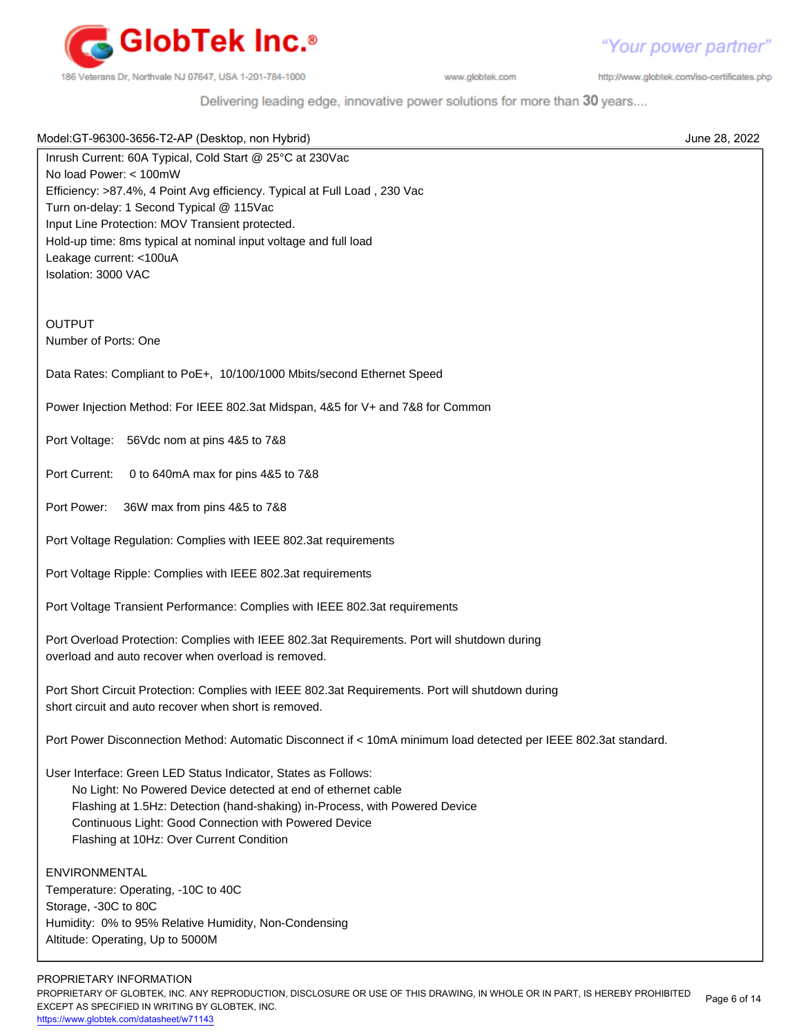

"Your power partner"

http://www.globtek.com/iso-certificates.php

Delivering leading edge, innovative power solutions for more than 30 years....

| Model: GT-96300-3656-T2-AP (Desktop, non Hybrid)                                                                      | June 28, 2022 |
|-----------------------------------------------------------------------------------------------------------------------|---------------|
| Inrush Current: 60A Typical, Cold Start @ 25°C at 230Vac                                                              |               |
| No load Power: < 100mW                                                                                                |               |
| Efficiency: >87.4%, 4 Point Avg efficiency. Typical at Full Load, 230 Vac<br>Turn on-delay: 1 Second Typical @ 115Vac |               |
| Input Line Protection: MOV Transient protected.                                                                       |               |
| Hold-up time: 8ms typical at nominal input voltage and full load                                                      |               |
| Leakage current: <100uA                                                                                               |               |
| Isolation: 3000 VAC                                                                                                   |               |
|                                                                                                                       |               |
|                                                                                                                       |               |
| <b>OUTPUT</b>                                                                                                         |               |
| Number of Ports: One                                                                                                  |               |
| Data Rates: Compliant to PoE+, 10/100/1000 Mbits/second Ethernet Speed                                                |               |
| Power Injection Method: For IEEE 802.3at Midspan, 4&5 for V+ and 7&8 for Common                                       |               |
| Port Voltage:<br>56Vdc nom at pins 4&5 to 7&8                                                                         |               |
| Port Current:<br>0 to 640mA max for pins 4&5 to 7&8                                                                   |               |
|                                                                                                                       |               |
| Port Power:<br>36W max from pins 4&5 to 7&8                                                                           |               |
| Port Voltage Regulation: Complies with IEEE 802.3at requirements                                                      |               |
| Port Voltage Ripple: Complies with IEEE 802.3at requirements                                                          |               |
| Port Voltage Transient Performance: Complies with IEEE 802.3at requirements                                           |               |
| Port Overload Protection: Complies with IEEE 802.3at Requirements. Port will shutdown during                          |               |
| overload and auto recover when overload is removed.                                                                   |               |
| Port Short Circuit Protection: Complies with IEEE 802.3at Requirements. Port will shutdown during                     |               |
| short circuit and auto recover when short is removed.                                                                 |               |
|                                                                                                                       |               |
| Port Power Disconnection Method: Automatic Disconnect if < 10mA minimum load detected per IEEE 802.3at standard.      |               |
| User Interface: Green LED Status Indicator, States as Follows:                                                        |               |
| No Light: No Powered Device detected at end of ethernet cable                                                         |               |
| Flashing at 1.5Hz: Detection (hand-shaking) in-Process, with Powered Device                                           |               |
| Continuous Light: Good Connection with Powered Device                                                                 |               |
| Flashing at 10Hz: Over Current Condition                                                                              |               |
| <b>ENVIRONMENTAL</b>                                                                                                  |               |
| Temperature: Operating, -10C to 40C                                                                                   |               |
| Storage, -30C to 80C                                                                                                  |               |
| Humidity: 0% to 95% Relative Humidity, Non-Condensing                                                                 |               |
| Altitude: Operating, Up to 5000M                                                                                      |               |
| PROPRIETARY INFORMATION                                                                                               |               |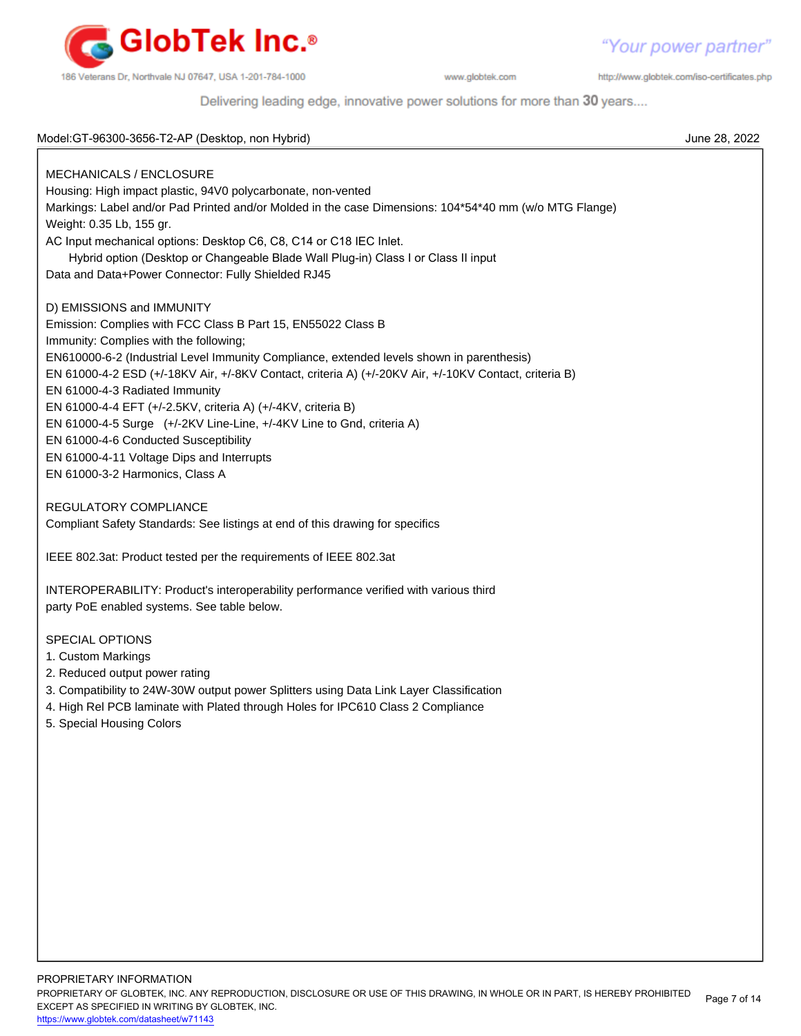

http://www.globtek.com/iso-certificates.php

Delivering leading edge, innovative power solutions for more than 30 years....

| Model: GT-96300-3656-T2-AP (Desktop, non Hybrid)                                                       | June 28, 2022 |
|--------------------------------------------------------------------------------------------------------|---------------|
|                                                                                                        |               |
| MECHANICALS / ENCLOSURE                                                                                |               |
| Housing: High impact plastic, 94V0 polycarbonate, non-vented                                           |               |
| Markings: Label and/or Pad Printed and/or Molded in the case Dimensions: 104*54*40 mm (w/o MTG Flange) |               |
| Weight: 0.35 Lb, 155 gr.                                                                               |               |
| AC Input mechanical options: Desktop C6, C8, C14 or C18 IEC Inlet.                                     |               |
| Hybrid option (Desktop or Changeable Blade Wall Plug-in) Class I or Class II input                     |               |
| Data and Data+Power Connector: Fully Shielded RJ45                                                     |               |
| D) EMISSIONS and IMMUNITY                                                                              |               |
| Emission: Complies with FCC Class B Part 15, EN55022 Class B                                           |               |
| Immunity: Complies with the following;                                                                 |               |
| EN610000-6-2 (Industrial Level Immunity Compliance, extended levels shown in parenthesis)              |               |
| EN 61000-4-2 ESD (+/-18KV Air, +/-8KV Contact, criteria A) (+/-20KV Air, +/-10KV Contact, criteria B)  |               |
| EN 61000-4-3 Radiated Immunity                                                                         |               |
| EN 61000-4-4 EFT (+/-2.5KV, criteria A) (+/-4KV, criteria B)                                           |               |
| EN 61000-4-5 Surge (+/-2KV Line-Line, +/-4KV Line to Gnd, criteria A)                                  |               |
| EN 61000-4-6 Conducted Susceptibility                                                                  |               |
| EN 61000-4-11 Voltage Dips and Interrupts                                                              |               |
| EN 61000-3-2 Harmonics, Class A                                                                        |               |
|                                                                                                        |               |
| REGULATORY COMPLIANCE                                                                                  |               |
| Compliant Safety Standards: See listings at end of this drawing for specifics                          |               |
|                                                                                                        |               |
| IEEE 802.3at: Product tested per the requirements of IEEE 802.3at                                      |               |
| INTEROPERABILITY: Product's interoperability performance verified with various third                   |               |
| party PoE enabled systems. See table below.                                                            |               |
|                                                                                                        |               |
| <b>SPECIAL OPTIONS</b>                                                                                 |               |
| 1. Custom Markings                                                                                     |               |
| 2. Reduced output power rating                                                                         |               |
| 3. Compatibility to 24W-30W output power Splitters using Data Link Layer Classification                |               |
| 4. High Rel PCB laminate with Plated through Holes for IPC610 Class 2 Compliance                       |               |
| 5. Special Housing Colors                                                                              |               |
|                                                                                                        |               |
|                                                                                                        |               |
|                                                                                                        |               |
|                                                                                                        |               |
|                                                                                                        |               |
|                                                                                                        |               |
|                                                                                                        |               |
|                                                                                                        |               |
|                                                                                                        |               |
|                                                                                                        |               |
|                                                                                                        |               |
|                                                                                                        |               |
|                                                                                                        |               |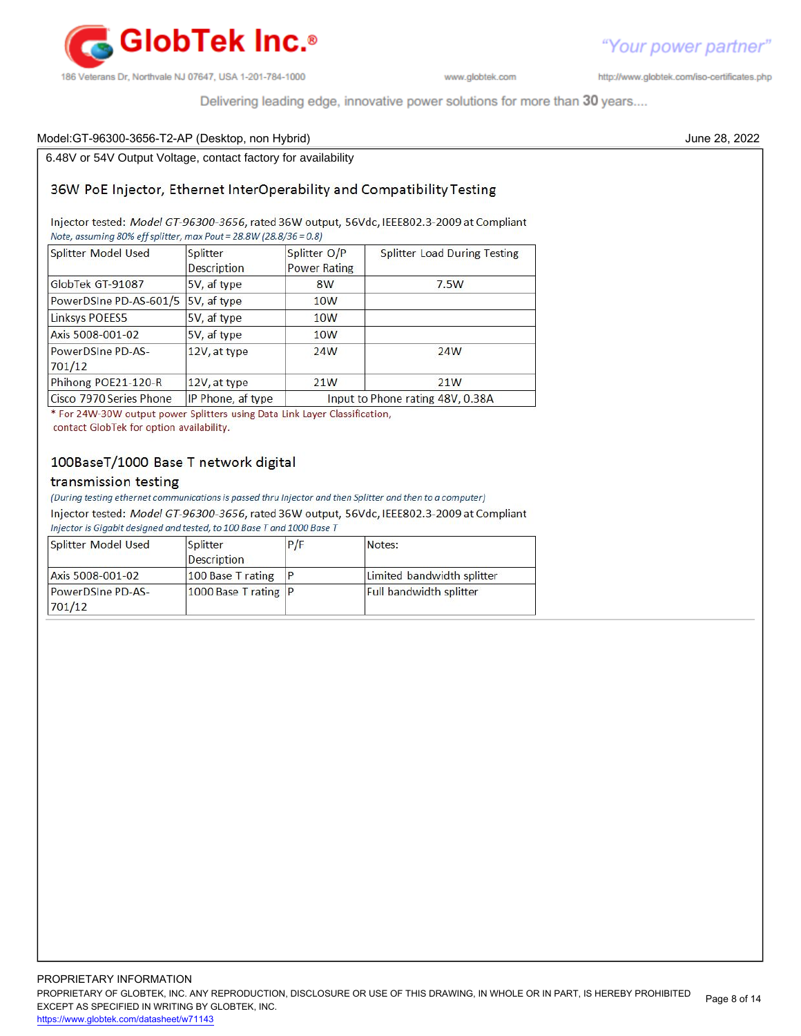

http://www.globtek.com/iso-certificates.php

Delivering leading edge, innovative power solutions for more than 30 years....

### Model:GT-96300-3656-T2-AP (Desktop, non Hybrid) June 28, 2022

6.48V or 54V Output Voltage, contact factory for availability

### 36W PoE Injector, Ethernet InterOperability and Compatibility Testing

Injector tested: Model GT-96300-3656, rated 36W output, 56Vdc, IEEE802.3-2009 at Compliant Note, assuming 80% eff splitter, max Pout = 28.8W (28.8/36 = 0.8)

| Splitter Model Used                         | Splitter<br><b>Description</b> | Splitter O/P<br><b>Power Rating</b> | <b>Splitter Load During Testing</b> |  |
|---------------------------------------------|--------------------------------|-------------------------------------|-------------------------------------|--|
| GlobTek GT-91087                            | 5V, af type                    | 8W                                  | 7.5W                                |  |
| PowerDSIne PD-AS-601/5                      | 5V, af type                    | 10 <sub>W</sub>                     |                                     |  |
| <b>Linksys POEES5</b>                       | 5V, af type<br>10W             |                                     |                                     |  |
| Axis 5008-001-02                            | 5V, af type                    | 10W                                 |                                     |  |
| PowerDSIne PD-AS-<br>12V, at type<br>701/12 |                                | 24W                                 | 24W                                 |  |
| Phihong POE21-120-R                         | 12V, at type                   | 21W                                 | 21W                                 |  |
| Cisco 7970 Series Phone                     | IP Phone, af type              | Input to Phone rating 48V, 0.38A    |                                     |  |

\* For 24W-30W output power Splitters using Data Link Layer Classification, contact GlobTek for option availability.

### 100BaseT/1000 Base T network digital

### transmission testing

(During testing ethernet communications is passed thru Injector and then Splitter and then to a computer)

Injector tested: Model GT-96300-3656, rated 36W output, 56Vdc, IEEE802.3-2009 at Compliant Injector is Gigabit designed and tested, to 100 Base T and 1000 Base T

| Splitter Model Used         | Splitter<br><b>Description</b> | P/F | Notes:                         |
|-----------------------------|--------------------------------|-----|--------------------------------|
| Axis 5008-001-02            | 100 Base T rating              |     | Limited bandwidth splitter     |
| PowerDSIne PD-AS-<br>701/12 | $1000$ Base T rating $P$       |     | <b>Full bandwidth splitter</b> |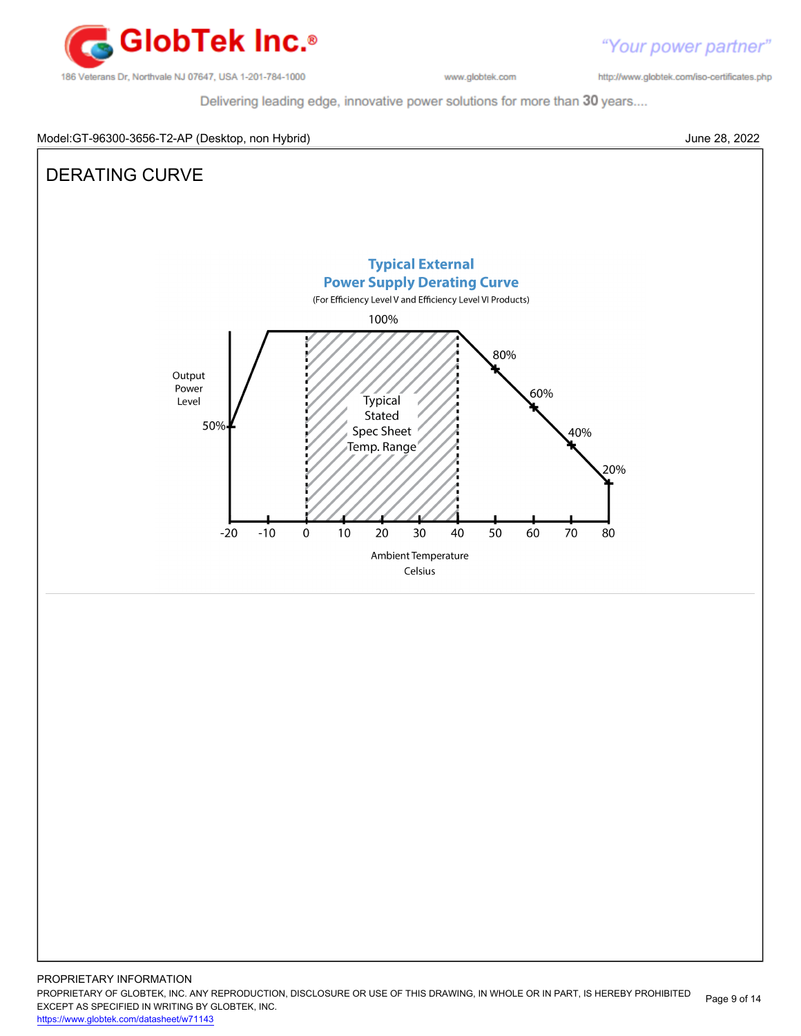

http://www.globtek.com/iso-certificates.php

Delivering leading edge, innovative power solutions for more than 30 years....



PROPRIETARY INFORMATION PROPRIETARY OF GLOBTEK, INC. ANY REPRODUCTION, DISCLOSURE OR USE OF THIS DRAWING, IN WHOLE OR IN PART, IS HEREBY PROHIBITED EXCEPT AS SPECIFIED IN WRITING BY GLOBTEK, INC. <https://www.globtek.com/datasheet/w71143> Page 9 of 14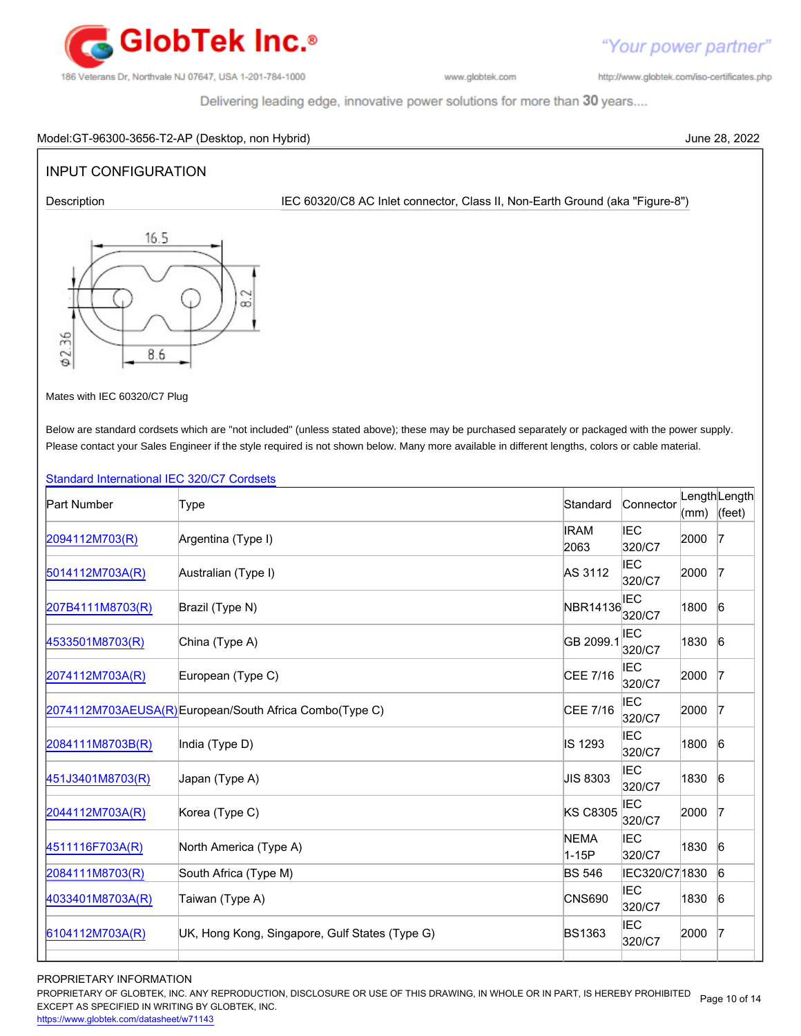

"Your power partner"

http://www.globtek.com/iso-certificates.php

Delivering leading edge, innovative power solutions for more than 30 years....

### Model:GT-96300-3656-T2-AP (Desktop, non Hybrid) June 28, 2022

## INPUT CONFIGURATION

Description **IEC 60320/C8 AC Inlet connector, Class II, Non-Earth Ground (aka "Figure-8")** 



Mates with IEC 60320/C7 Plug

Below are standard cordsets which are "not included" (unless stated above); these may be purchased separately or packaged with the power supply. Please contact your Sales Engineer if the style required is not shown below. Many more available in different lengths, colors or cable material.

### [Standard International IEC 320/C7 Cordsets](http://www.globtek.com/pdf/international-cordset-with-iec-320_c7-703-connector/)

| <b>Part Number</b> | Type                                                    | Standard             | Connector            | (mm) | LengthLength<br>(feet) |
|--------------------|---------------------------------------------------------|----------------------|----------------------|------|------------------------|
| 2094112M703(R)     | Argentina (Type I)                                      | <b>IRAM</b><br>2063  | <b>IEC</b><br>320/C7 | 2000 | 17                     |
| 5014112M703A(R)    | Australian (Type I)                                     | AS 3112              | <b>IEC</b><br>320/C7 | 2000 | $\overline{7}$         |
| 207B4111M8703(R)   | Brazil (Type N)                                         | NBR14136             | IEC<br>320/C7        | 1800 | $6\overline{6}$        |
| 4533501M8703(R)    | China (Type A)                                          | GB 2099.1            | <b>IEC</b><br>320/C7 | 1830 | $6\overline{6}$        |
| 2074112M703A(R)    | European (Type C)                                       | CEE 7/16             | IEC<br>320/C7        | 2000 | $\overline{7}$         |
|                    | 2074112M703AEUSA(R) European/South Africa Combo(Type C) | CEE 7/16             | IEC<br>320/C7        | 2000 | $\overline{7}$         |
| 2084111M8703B(R)   | India (Type D)                                          | IS 1293              | <b>IEC</b><br>320/C7 | 1800 | $6\overline{6}$        |
| 451J3401M8703(R)   | Japan (Type A)                                          | <b>JIS 8303</b>      | <b>IEC</b><br>320/C7 | 1830 | 6                      |
| 2044112M703A(R)    | Korea (Type C)                                          | <b>KS C8305</b>      | IEC<br>320/C7        | 2000 | $\overline{7}$         |
| 4511116F703A(R)    | North America (Type A)                                  | <b>NEMA</b><br>1-15P | <b>IEC</b><br>320/C7 | 1830 | $6\overline{6}$        |
| 2084111M8703(R)    | South Africa (Type M)                                   | <b>BS 546</b>        | IEC320/C7 1830       |      | 6                      |
| 4033401M8703A(R)   | Taiwan (Type A)                                         | <b>CNS690</b>        | <b>IEC</b><br>320/C7 | 1830 | 6                      |
| 6104112M703A(R)    | UK, Hong Kong, Singapore, Gulf States (Type G)          | <b>BS1363</b>        | IEC<br>320/C7        | 2000 | $\overline{7}$         |
|                    |                                                         |                      |                      |      |                        |

### PROPRIETARY INFORMATION

PROPRIETARY OF GLOBTEK, INC. ANY REPRODUCTION, DISCLOSURE OR USE OF THIS DRAWING, IN WHOLE OR IN PART, IS HEREBY PROHIBITED Page 10 of 14<br>EXALER 10 OREGIEIER WILKENIG BY OLOREEK WO EXCEPT AS SPECIFIED IN WRITING BY GLOBTEK, INC.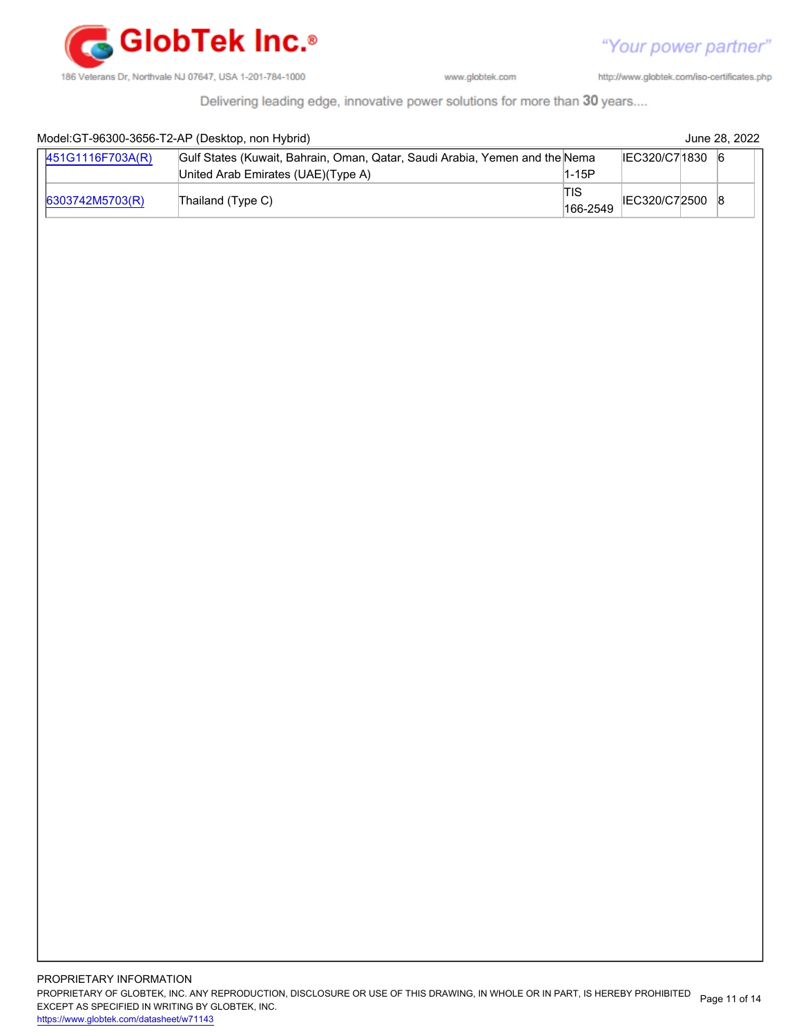

http://www.globtek.com/iso-certificates.php

Delivering leading edge, innovative power solutions for more than 30 years....

|                  | Model: GT-96300-3656-T2-AP (Desktop, non Hybrid)<br>June 28, 2022                            |                        |                 |  |   |
|------------------|----------------------------------------------------------------------------------------------|------------------------|-----------------|--|---|
| 451G1116F703A(R) | Gulf States (Kuwait, Bahrain, Oman, Qatar, Saudi Arabia, Yemen and the Nema<br>IEC320/C71830 |                        |                 |  | 6 |
|                  | United Arab Emirates (UAE)(Type A)                                                           | $1-15P$                |                 |  |   |
| 6303742M5703(R)  | Thailand (Type C)                                                                            | <b>TIS</b><br>166-2549 | IEC320/C72500 8 |  |   |
|                  |                                                                                              |                        |                 |  |   |
|                  |                                                                                              |                        |                 |  |   |
|                  |                                                                                              |                        |                 |  |   |
|                  |                                                                                              |                        |                 |  |   |
|                  |                                                                                              |                        |                 |  |   |
|                  |                                                                                              |                        |                 |  |   |
|                  |                                                                                              |                        |                 |  |   |
|                  |                                                                                              |                        |                 |  |   |
|                  |                                                                                              |                        |                 |  |   |
|                  |                                                                                              |                        |                 |  |   |
|                  |                                                                                              |                        |                 |  |   |
|                  |                                                                                              |                        |                 |  |   |
|                  |                                                                                              |                        |                 |  |   |
|                  |                                                                                              |                        |                 |  |   |
|                  |                                                                                              |                        |                 |  |   |
|                  |                                                                                              |                        |                 |  |   |
|                  |                                                                                              |                        |                 |  |   |
|                  |                                                                                              |                        |                 |  |   |
|                  |                                                                                              |                        |                 |  |   |
|                  |                                                                                              |                        |                 |  |   |
|                  |                                                                                              |                        |                 |  |   |
|                  |                                                                                              |                        |                 |  |   |
|                  |                                                                                              |                        |                 |  |   |
|                  |                                                                                              |                        |                 |  |   |
|                  |                                                                                              |                        |                 |  |   |
|                  |                                                                                              |                        |                 |  |   |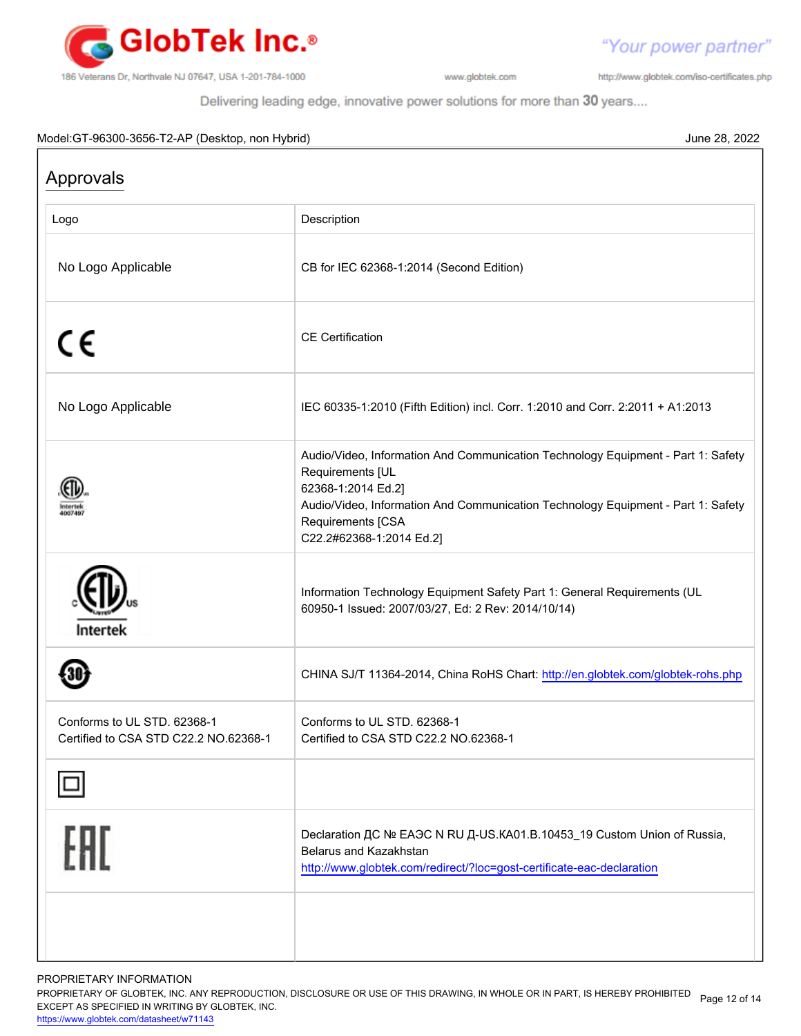

http://www.globtek.com/iso-certificates.php

"Your power partner"

Delivering leading edge, innovative power solutions for more than 30 years....

### Model:GT-96300-3656-T2-AP (Desktop, non Hybrid) June 28, 2022

| Description                                                                                                                                                                                                                                                     |
|-----------------------------------------------------------------------------------------------------------------------------------------------------------------------------------------------------------------------------------------------------------------|
| CB for IEC 62368-1:2014 (Second Edition)                                                                                                                                                                                                                        |
| <b>CE</b> Certification                                                                                                                                                                                                                                         |
| IEC 60335-1:2010 (Fifth Edition) incl. Corr. 1:2010 and Corr. 2:2011 + A1:2013                                                                                                                                                                                  |
| Audio/Video, Information And Communication Technology Equipment - Part 1: Safety<br>Requirements [UL<br>62368-1:2014 Ed.2]<br>Audio/Video, Information And Communication Technology Equipment - Part 1: Safety<br>Requirements [CSA<br>C22.2#62368-1:2014 Ed.2] |
| Information Technology Equipment Safety Part 1: General Requirements (UL<br>60950-1 Issued: 2007/03/27, Ed: 2 Rev: 2014/10/14)                                                                                                                                  |
| CHINA SJ/T 11364-2014, China RoHS Chart: http://en.globtek.com/globtek-rohs.php                                                                                                                                                                                 |
| Conforms to UL STD. 62368-1<br>Certified to CSA STD C22.2 NO.62368-1                                                                                                                                                                                            |
|                                                                                                                                                                                                                                                                 |
| Declaration ДС № ЕАЭС N RU Д-US.KA01.B.10453_19 Custom Union of Russia,<br>Belarus and Kazakhstan<br>http://www.globtek.com/redirect/?loc=gost-certificate-eac-declaration                                                                                      |
|                                                                                                                                                                                                                                                                 |

PROPRIETARY INFORMATION

PROPRIETARY OF GLOBTEK, INC. ANY REPRODUCTION, DISCLOSURE OR USE OF THIS DRAWING, IN WHOLE OR IN PART, IS HEREBY PROHIBITED Page 12 of 14<br>EXALER 10 OREGIEIER WILKENIG BY OLOREEK WO EXCEPT AS SPECIFIED IN WRITING BY GLOBTEK, INC.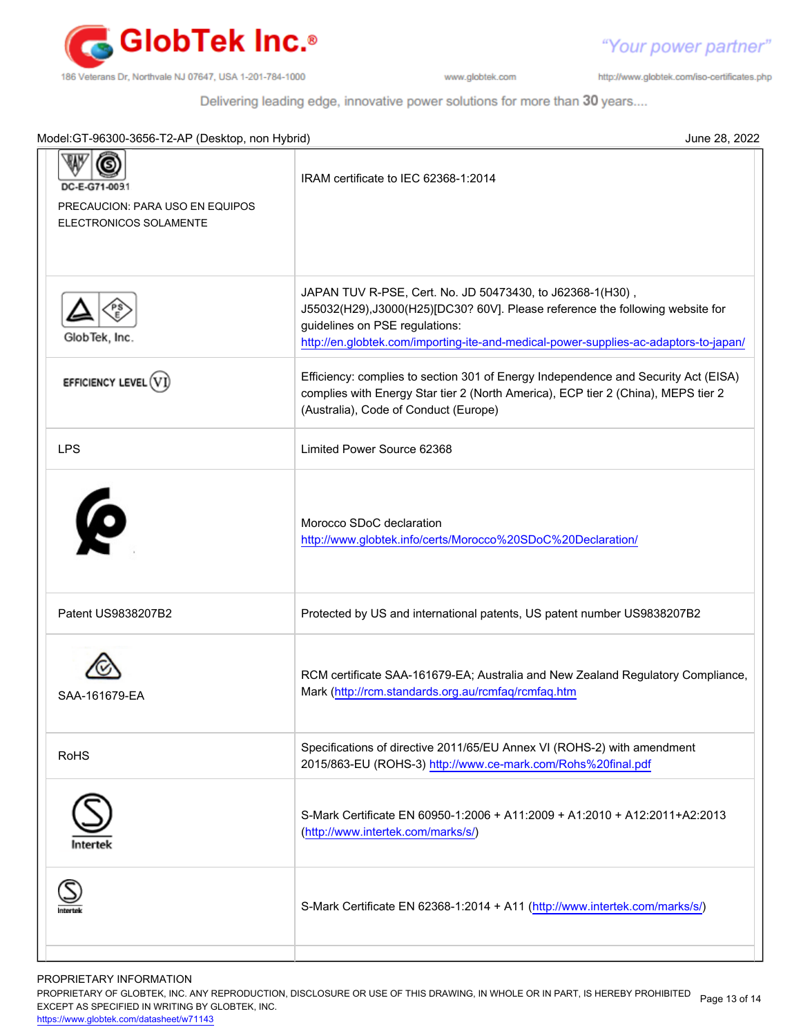

http://www.globtek.com/iso-certificates.php

"Your power partner"

Delivering leading edge, innovative power solutions for more than 30 years....

| Model: GT-96300-3656-T2-AP (Desktop, non Hybrid)<br>June 28, 2022           |                                                                                                                                                                                                                                                                      |  |
|-----------------------------------------------------------------------------|----------------------------------------------------------------------------------------------------------------------------------------------------------------------------------------------------------------------------------------------------------------------|--|
| DC-E-G71-009.1<br>PRECAUCION: PARA USO EN EQUIPOS<br>ELECTRONICOS SOLAMENTE | IRAM certificate to IEC 62368-1:2014                                                                                                                                                                                                                                 |  |
| GlobTek, Inc.                                                               | JAPAN TUV R-PSE, Cert. No. JD 50473430, to J62368-1(H30),<br>J55032(H29),J3000(H25)[DC30? 60V]. Please reference the following website for<br>guidelines on PSE regulations:<br>http://en.globtek.com/importing-ite-and-medical-power-supplies-ac-adaptors-to-japan/ |  |
| EFFICIENCY LEVEL (V)                                                        | Efficiency: complies to section 301 of Energy Independence and Security Act (EISA)<br>complies with Energy Star tier 2 (North America), ECP tier 2 (China), MEPS tier 2<br>(Australia), Code of Conduct (Europe)                                                     |  |
| <b>LPS</b>                                                                  | Limited Power Source 62368                                                                                                                                                                                                                                           |  |
| Ø                                                                           | Morocco SDoC declaration<br>http://www.globtek.info/certs/Morocco%20SDoC%20Declaration/                                                                                                                                                                              |  |
| Patent US9838207B2                                                          | Protected by US and international patents, US patent number US9838207B2                                                                                                                                                                                              |  |
| SAA-161679-EA                                                               | RCM certificate SAA-161679-EA; Australia and New Zealand Regulatory Compliance,<br>Mark (http://rcm.standards.org.au/rcmfaq/rcmfaq.htm                                                                                                                               |  |
| <b>RoHS</b>                                                                 | Specifications of directive 2011/65/EU Annex VI (ROHS-2) with amendment<br>2015/863-EU (ROHS-3) http://www.ce-mark.com/Rohs%20final.pdf                                                                                                                              |  |
|                                                                             | S-Mark Certificate EN 60950-1:2006 + A11:2009 + A1:2010 + A12:2011+A2:2013<br>(http://www.intertek.com/marks/s/)                                                                                                                                                     |  |
|                                                                             | S-Mark Certificate EN 62368-1:2014 + A11 (http://www.intertek.com/marks/s/)                                                                                                                                                                                          |  |
|                                                                             |                                                                                                                                                                                                                                                                      |  |

PROPRIETARY INFORMATION

PROPRIETARY OF GLOBTEK, INC. ANY REPRODUCTION, DISCLOSURE OR USE OF THIS DRAWING, IN WHOLE OR IN PART, IS HEREBY PROHIBITED Page 13 of 14<br>EXALER 10 OREGIEIER WILKENIG BY OLOREEK WO EXCEPT AS SPECIFIED IN WRITING BY GLOBTEK, INC.